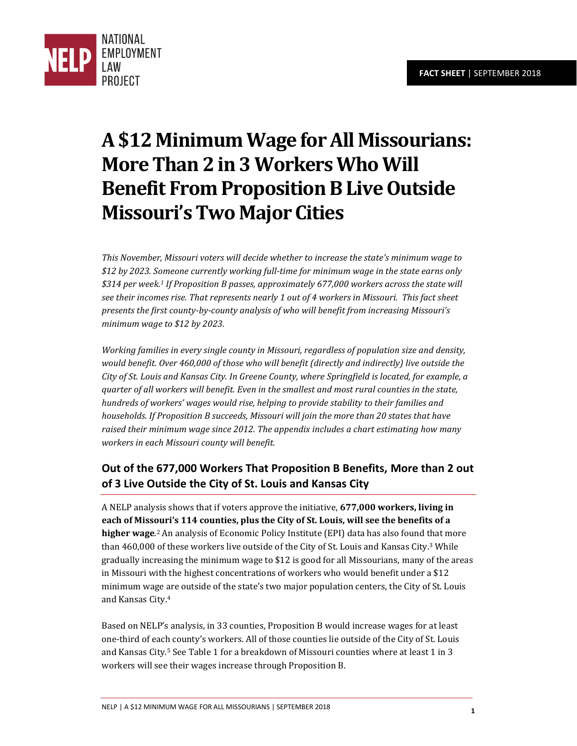

# **A \$12 Minimum Wage for All Missourians: More Than 2 in 3 Workers Who Will Benefit From Proposition B Live Outside Missouri's Two Major Cities**

*This November, Missouri voters will decide whether to increase the state's minimum wage to \$12 by 2023. Someone currently working full-time for minimum wage in the state earns only \$314 per week.<sup>1</sup> If Proposition B passes, approximately 677,000 workers across the state will see their incomes rise. That represents nearly 1 out of 4 workers in Missouri. This fact sheet presents the first county-by-county analysis of who will benefit from increasing Missouri's minimum wage to \$12 by 2023.* 

*Working families in every single county in Missouri, regardless of population size and density, would benefit. Over 460,000 of those who will benefit (directly and indirectly) live outside the City of St. Louis and Kansas City. In Greene County, where Springfield is located, for example, a quarter of all workers will benefit. Even in the smallest and most rural counties in the state, hundreds of workers' wages would rise, helping to provide stability to their families and households. If Proposition B succeeds, Missouri will join the more than 20 states that have raised their minimum wage since 2012. The appendix includes a chart estimating how many workers in each Missouri county will benefit.* 

## **Out of the 677,000 Workers That Proposition B Benefits, More than 2 out of 3 Live Outside the City of St. Louis and Kansas City**

A NELP analysis shows that if voters approve the initiative, **677,000 workers, living in each of Missouri's 114 counties, plus the City of St. Louis, will see the benefits of a higher wage**. <sup>2</sup> An analysis of Economic Policy Institute (EPI) data has also found that more than 460,000 of these workers live outside of the City of St. Louis and Kansas City.<sup>3</sup> While gradually increasing the minimum wage to \$12 is good for all Missourians, many of the areas in Missouri with the highest concentrations of workers who would benefit under a \$12 minimum wage are outside of the state's two major population centers, the City of St. Louis and Kansas City.<sup>4</sup>

Based on NELP's analysis, in 33 counties, Proposition B would increase wages for at least one-third of each county's workers. All of those counties lie outside of the City of St. Louis and Kansas City.5 See Table 1 for a breakdown of Missouri counties where at least 1 in 3 workers will see their wages increase through Proposition B.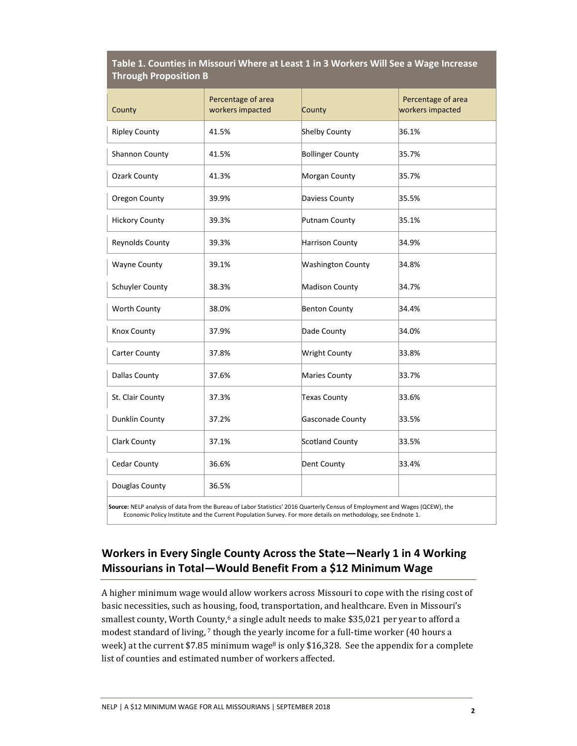#### **Table 1. Counties in Missouri Where at Least 1 in 3 Workers Will See a Wage Increase Through Proposition B**

| County                 | Percentage of area<br>workers impacted | County                   | Percentage of area<br>workers impacted |
|------------------------|----------------------------------------|--------------------------|----------------------------------------|
| <b>Ripley County</b>   | 41.5%                                  | Shelby County            | 36.1%                                  |
| Shannon County         | 41.5%                                  | <b>Bollinger County</b>  | 35.7%                                  |
| <b>Ozark County</b>    | 41.3%                                  | Morgan County            | 35.7%                                  |
| Oregon County          | 39.9%                                  | Daviess County           | 35.5%                                  |
| <b>Hickory County</b>  | 39.3%                                  | Putnam County            | 35.1%                                  |
| <b>Reynolds County</b> | 39.3%                                  | Harrison County          | 34.9%                                  |
| <b>Wayne County</b>    | 39.1%                                  | <b>Washington County</b> | 34.8%                                  |
| Schuyler County        | 38.3%                                  | Madison County           | 34.7%                                  |
| Worth County           | 38.0%                                  | <b>Benton County</b>     | 34.4%                                  |
| <b>Knox County</b>     | 37.9%                                  | Dade County              | 34.0%                                  |
| Carter County          | 37.8%                                  | <b>Wright County</b>     | 33.8%                                  |
| <b>Dallas County</b>   | 37.6%                                  | Maries County            | 33.7%                                  |
| St. Clair County       | 37.3%                                  | Texas County             | 33.6%                                  |
| Dunklin County         | 37.2%                                  | Gasconade County         | 33.5%                                  |
| Clark County           | 37.1%                                  | Scotland County          | 33.5%                                  |
| Cedar County           | 36.6%                                  | Dent County              | 33.4%                                  |
| Douglas County         | 36.5%                                  |                          |                                        |

 **Source:** NELP analysis of data from the Bureau of Labor Statistics' 2016 Quarterly Census of Employment and Wages (QCEW), the Economic Policy Institute and the Current Population Survey. For more details on methodology, see Endnote 1.

## **Workers in Every Single County Across the State—Nearly 1 in 4 Working Missourians in Total—Would Benefit From a \$12 Minimum Wage**

A higher minimum wage would allow workers across Missouri to cope with the rising cost of basic necessities, such as housing, food, transportation, and healthcare. Even in Missouri's smallest county, Worth County,<sup>6</sup> a single adult needs to make \$35,021 per year to afford a modest standard of living, 7 though the yearly income for a full-time worker (40 hours a week) at the current \$7.85 minimum wage<sup>8</sup> is only \$16,328. See the appendix for a complete list of counties and estimated number of workers affected.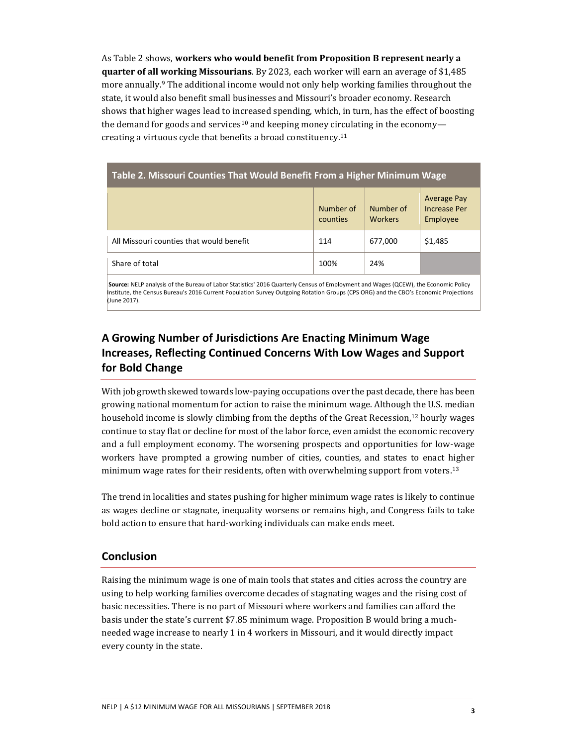As Table 2 shows, **workers who would benefit from Proposition B represent nearly a quarter of all working Missourians**. By 2023, each worker will earn an average of \$1,485 more annually.9 The additional income would not only help working families throughout the state, it would also benefit small businesses and Missouri's broader economy. Research shows that higher wages lead to increased spending, which, in turn, has the effect of boosting the demand for goods and services<sup>10</sup> and keeping money circulating in the economycreating a virtuous cycle that benefits a broad constituency.<sup>11</sup>

| Table 2. Missouri Counties That Would Benefit From a Higher Minimum Wage |                       |                             |                                                       |  |  |  |
|--------------------------------------------------------------------------|-----------------------|-----------------------------|-------------------------------------------------------|--|--|--|
|                                                                          | Number of<br>counties | Number of<br><b>Workers</b> | <b>Average Pay</b><br><b>Increase Per</b><br>Employee |  |  |  |
| All Missouri counties that would benefit                                 | 114                   | 677,000                     | \$1,485                                               |  |  |  |
| Share of total                                                           | 100%                  | 24%                         |                                                       |  |  |  |

 **Source:** NELP analysis of the Bureau of Labor Statistics' 2016 Quarterly Census of Employment and Wages (QCEW), the Economic Policy Institute, the Census Bureau's 2016 Current Population Survey Outgoing Rotation Groups (CPS ORG) and the CBO's Economic Projections (June 2017).

## **A Growing Number of Jurisdictions Are Enacting Minimum Wage Increases, Reflecting Continued Concerns With Low Wages and Support for Bold Change**

With job growth skewed towards low-paying occupations over the past decade, there has been growing national momentum for action to raise the minimum wage. Although the U.S. median household income is slowly climbing from the depths of the Great Recession,<sup>12</sup> hourly wages continue to stay flat or decline for most of the labor force, even amidst the economic recovery and a full employment economy. The worsening prospects and opportunities for low-wage workers have prompted a growing number of cities, counties, and states to enact higher minimum wage rates for their residents, often with overwhelming support from voters.<sup>13</sup>

The trend in localities and states pushing for higher minimum wage rates is likely to continue as wages decline or stagnate, inequality worsens or remains high, and Congress fails to take bold action to ensure that hard-working individuals can make ends meet.

#### **Conclusion**

Raising the minimum wage is one of main tools that states and cities across the country are using to help working families overcome decades of stagnating wages and the rising cost of basic necessities. There is no part of Missouri where workers and families can afford the basis under the state's current \$7.85 minimum wage. Proposition B would bring a muchneeded wage increase to nearly 1 in 4 workers in Missouri, and it would directly impact every county in the state.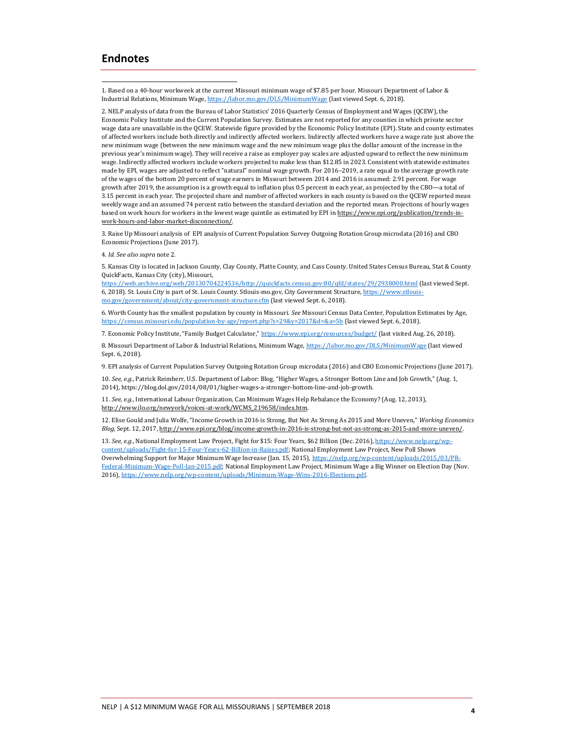#### **Endnotes**

1. Based on a 40-hour workweek at the current Missouri minimum wage of \$7.85 per hour. Missouri Department of Labor & Industrial Relations, Minimum Wage, https://labor.mo.gov/DLS/MinimumWage (last viewed Sept. 6, 2018).

2. NELP analysis of data from the Bureau of Labor Statistics' 2016 Quarterly Census of Employment and Wages (QCEW), the Economic Policy Institute and the Current Population Survey. Estimates are not reported for any counties in which private sector wage data are unavailable in the QCEW. Statewide figure provided by the Economic Policy Institute (EPI). State and county estimates of affected workers include both directly and indirectly affected workers. Indirectly affected workers have a wage rate just above the new minimum wage (between the new minimum wage and the new minimum wage plus the dollar amount of the increase in the previous year's minimum wage). They will receive a raise as employer pay scales are adjusted upward to reflect the new minimum wage. Indirectly affected workers include workers projected to make less than \$12.85 in 2023. Consistent with statewide estimates made by EPI, wages are adjusted to reflect "natural" nominal wage growth. For 2016–2019, a rate equal to the average growth rate of the wages of the bottom 20 percent of wage earners in Missouri between 2014 and 2016 is assumed: 2.91 percent. For wage growth after 2019, the assumption is a growth equal to inflation plus 0.5 percent in each year, as projected by the CBO—a total of 3.15 percent in each year. The projected share and number of affected workers in each county is based on the QCEW reported mean weekly wage and an assumed 74 percent ratio between the standard deviation and the reported mean. Projections of hourly wages based on work hours for workers in the lowest wage quintile as estimated by EPI i[n https://www.epi.org/publication/trends-in](https://www.epi.org/publication/trends-in-work-hours-and-labor-market-disconnection/)[work-hours-and-labor-market-disconnection/.](https://www.epi.org/publication/trends-in-work-hours-and-labor-market-disconnection/) 

3. Raise Up Missouri analysis of EPI analysis of Current Population Survey Outgoing Rotation Group microdata (2016) and CBO Economic Projections (June 2017).

4. *Id*. *See also supra* note 2.

5. Kansas City is located in Jackson County, Clay County, Platte County, and Cass County. United States Census Bureau, Stat & County QuickFacts, Kansas City (city), Missouri,

https://web.archive.org/web/20130704224536/http://quickfacts.census.gov:80/qfd/states/29/2938000.html (last viewed Sept. 6, 2018). St. Louis City is part of St. Louis County. Stlouis-mo.gov, City Government Structure[, https://www.stlouis](https://www.stlouis-mo.gov/government/about/city-government-structure.cfm)[mo.gov/government/about/city-government-structure.cfm \(](https://www.stlouis-mo.gov/government/about/city-government-structure.cfm)last viewed Sept. 6, 2018).

6. Worth County has the smallest population by county in Missouri. *See* Missouri Census Data Center, Population Estimates by Age, [https://census.missouri.edu/population-by-age/report.php?s=29&y=2017&d=&a=5b \(](https://census.missouri.edu/population-by-age/report.php?s=29&y=2017&d=&a=5b)last viewed Sept. 6, 2018).

7. Economic Policy Institute, "Family Budget Calculator," [https://www.epi.org/resources/budget/ \(](https://www.epi.org/resources/budget/)last visited Aug. 26, 2018).

8. Missouri Department of Labor & Industrial Relations, Minimum Wage[, https://labor.mo.gov/DLS/MinimumWage \(](https://labor.mo.gov/DLS/MinimumWage)last viewed Sept. 6, 2018).

9. EPI analysis of Current Population Survey Outgoing Rotation Group microdata (2016) and CBO Economic Projections (June 2017).

10. *See, e.g.*, Patrick Reimherr, U.S. Department of Labor: Blog, "Higher Wages, a Stronger Bottom Line and Job Growth," (Aug. 1, 2014), https://blog.dol.gov/2014/08/01/higher-wages-a-stronger-bottom-line-and-job-growth.

11. *See, e.g.*, International Labour Organization, Can Minimum Wages Help Rebalance the Economy? (Aug. 12, 2013), [http://www.ilo.org/newyork/voices-at-work/WCMS\\_219658/index.htm.](http://www.ilo.org/newyork/voices-at-work/WCMS_219658/index.htm) 

12. Elise Gould and Julia Wolfe, "Income Growth in 2016 is Strong, But Not As Strong As 2015 and More Uneven," *Working Economics Blog*, Sept. 12, 2017[, http://www.epi.org/blog/income-growth-in-2016-is-strong-but-not-as-strong-as-2015-and-more-uneven/.](http://www.epi.org/blog/income-growth-in-2016-is-strong-but-not-as-strong-as-2015-and-more-uneven/) 

13. *See, e.g.*, National Employment Law Project, Fight for \$15: Four Years, \$62 Billion (Dec. 2016)[, https://www.nelp.org/wp](https://www.nelp.org/wp-content/uploads/Fight-for-15-Four-Years-62-Billion-in-Raises.pdf)[content/uploads/Fight-for-15-Four-Years-62-Billion-in-Raises.pdf;](https://www.nelp.org/wp-content/uploads/Fight-for-15-Four-Years-62-Billion-in-Raises.pdf) National Employment Law Project, New Poll Shows Overwhelming Support for Major Minimum Wage Increase (Jan. 15, 2015)[, https://nelp.org/wp-content/uploads/2015/03/PR-](https://nelp.org/wp-content/uploads/2015/03/PR-Federal-Minimum-Wage-Poll-Jan-2015.pdf)[Federal-Minimum-Wage-Poll-Jan-2015.pdf;](https://nelp.org/wp-content/uploads/2015/03/PR-Federal-Minimum-Wage-Poll-Jan-2015.pdf) National Employment Law Project, Minimum Wage a Big Winner on Election Day (Nov. 2016)[, https://www.nelp.org/wp-content/uploads/Minimum-Wage-Wins-2016-Elections.pdf.](https://www.nelp.org/wp-content/uploads/Minimum-Wage-Wins-2016-Elections.pdf)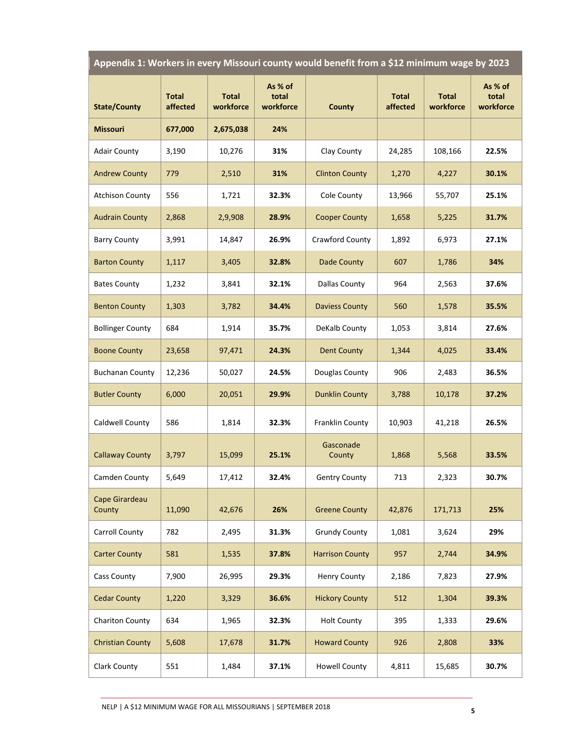| Appendix 1: Workers in every Missouri county would benefit from a \$12 minimum wage by 2023 |  |  |
|---------------------------------------------------------------------------------------------|--|--|
|                                                                                             |  |  |

| <b>State/County</b>      | <b>Total</b><br>affected | <b>Total</b><br>workforce | As % of<br>total<br>workforce | <b>County</b>          | <b>Total</b><br>affected | <b>Total</b><br>workforce | As % of<br>total<br>workforce |
|--------------------------|--------------------------|---------------------------|-------------------------------|------------------------|--------------------------|---------------------------|-------------------------------|
| <b>Missouri</b>          | 677,000                  | 2,675,038                 | 24%                           |                        |                          |                           |                               |
| <b>Adair County</b>      | 3,190                    | 10,276                    | 31%                           | Clay County            | 24,285                   | 108,166                   | 22.5%                         |
| <b>Andrew County</b>     | 779                      | 2,510                     | 31%                           | <b>Clinton County</b>  | 1,270                    | 4,227                     | 30.1%                         |
| <b>Atchison County</b>   | 556                      | 1,721                     | 32.3%                         | Cole County            | 13,966                   | 55,707                    | 25.1%                         |
| <b>Audrain County</b>    | 2,868                    | 2,9,908                   | 28.9%                         | <b>Cooper County</b>   | 1,658                    | 5,225                     | 31.7%                         |
| <b>Barry County</b>      | 3,991                    | 14,847                    | 26.9%                         | Crawford County        | 1,892                    | 6,973                     | 27.1%                         |
| <b>Barton County</b>     | 1,117                    | 3,405                     | 32.8%                         | Dade County            | 607                      | 1,786                     | 34%                           |
| <b>Bates County</b>      | 1,232                    | 3,841                     | 32.1%                         | Dallas County          | 964                      | 2,563                     | 37.6%                         |
| <b>Benton County</b>     | 1,303                    | 3,782                     | 34.4%                         | <b>Daviess County</b>  | 560                      | 1,578                     | 35.5%                         |
| <b>Bollinger County</b>  | 684                      | 1,914                     | 35.7%                         | DeKalb County          | 1,053                    | 3,814                     | 27.6%                         |
| <b>Boone County</b>      | 23,658                   | 97,471                    | 24.3%                         | <b>Dent County</b>     | 1,344                    | 4,025                     | 33.4%                         |
| <b>Buchanan County</b>   | 12,236                   | 50,027                    | 24.5%                         | Douglas County         | 906                      | 2,483                     | 36.5%                         |
| <b>Butler County</b>     | 6,000                    | 20,051                    | 29.9%                         | <b>Dunklin County</b>  | 3,788                    | 10,178                    | 37.2%                         |
| Caldwell County          | 586                      | 1,814                     | 32.3%                         | Franklin County        | 10,903                   | 41,218                    | 26.5%                         |
| <b>Callaway County</b>   | 3,797                    | 15,099                    | 25.1%                         | Gasconade<br>County    | 1,868                    | 5,568                     | 33.5%                         |
| Camden County            | 5,649                    | 17,412                    | 32.4%                         | <b>Gentry County</b>   | 713                      | 2,323                     | 30.7%                         |
| Cape Girardeau<br>County | 11,090                   | 42,676                    | 26%                           | <b>Greene County</b>   | 42,876                   | 171,713                   | 25%                           |
| <b>Carroll County</b>    | 782                      | 2,495                     | 31.3%                         | <b>Grundy County</b>   | 1,081                    | 3,624                     | 29%                           |
| <b>Carter County</b>     | 581                      | 1,535                     | 37.8%                         | <b>Harrison County</b> | 957                      | 2,744                     | 34.9%                         |
| Cass County              | 7,900                    | 26,995                    | 29.3%                         | <b>Henry County</b>    | 2,186                    | 7,823                     | 27.9%                         |
| <b>Cedar County</b>      | 1,220                    | 3,329                     | 36.6%                         | <b>Hickory County</b>  | 512                      | 1,304                     | 39.3%                         |
| Chariton County          | 634                      | 1,965                     | 32.3%                         | <b>Holt County</b>     | 395                      | 1,333                     | 29.6%                         |
| <b>Christian County</b>  | 5,608                    | 17,678                    | 31.7%                         | <b>Howard County</b>   | 926                      | 2,808                     | 33%                           |
| Clark County             | 551                      | 1,484                     | 37.1%                         | <b>Howell County</b>   | 4,811                    | 15,685                    | 30.7%                         |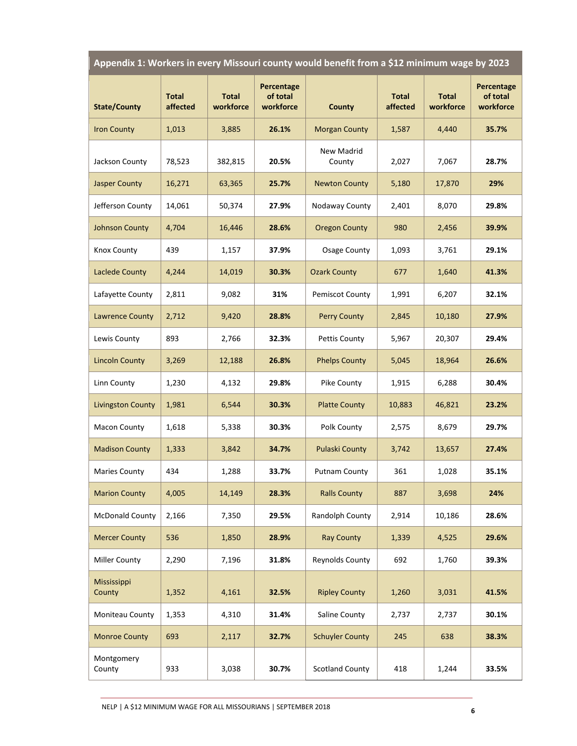**Appendix 1: Workers in every Missouri county would benefit from a \$12 minimum wage by 2023** 

| <b>State/County</b>      | <b>Total</b><br>affected | <b>Total</b><br>workforce | Percentage<br>of total<br>workforce | <b>County</b>          | <b>Total</b><br>affected | <b>Total</b><br>workforce | Percentage<br>of total<br>workforce |
|--------------------------|--------------------------|---------------------------|-------------------------------------|------------------------|--------------------------|---------------------------|-------------------------------------|
| <b>Iron County</b>       | 1,013                    | 3,885                     | 26.1%                               | <b>Morgan County</b>   | 1,587                    | 4,440                     | 35.7%                               |
| Jackson County           | 78,523                   | 382,815                   | 20.5%                               | New Madrid<br>County   | 2,027                    | 7,067                     | 28.7%                               |
| <b>Jasper County</b>     | 16,271                   | 63,365                    | 25.7%                               | <b>Newton County</b>   | 5,180                    | 17,870                    | 29%                                 |
| Jefferson County         | 14,061                   | 50,374                    | 27.9%                               | Nodaway County         | 2,401                    | 8,070                     | 29.8%                               |
| <b>Johnson County</b>    | 4,704                    | 16,446                    | 28.6%                               | <b>Oregon County</b>   | 980                      | 2,456                     | 39.9%                               |
| Knox County              | 439                      | 1,157                     | 37.9%                               | <b>Osage County</b>    | 1,093                    | 3,761                     | 29.1%                               |
| <b>Laclede County</b>    | 4,244                    | 14,019                    | 30.3%                               | <b>Ozark County</b>    | 677                      | 1,640                     | 41.3%                               |
| Lafayette County         | 2,811                    | 9,082                     | 31%                                 | Pemiscot County        | 1,991                    | 6,207                     | 32.1%                               |
| Lawrence County          | 2,712                    | 9,420                     | 28.8%                               | <b>Perry County</b>    | 2,845                    | 10,180                    | 27.9%                               |
| Lewis County             | 893                      | 2,766                     | 32.3%                               | <b>Pettis County</b>   | 5,967                    | 20,307                    | 29.4%                               |
| <b>Lincoln County</b>    | 3,269                    | 12,188                    | 26.8%                               | <b>Phelps County</b>   | 5,045                    | 18,964                    | 26.6%                               |
| Linn County              | 1,230                    | 4,132                     | 29.8%                               | Pike County            | 1,915                    | 6,288                     | 30.4%                               |
| <b>Livingston County</b> | 1,981                    | 6,544                     | 30.3%                               | <b>Platte County</b>   | 10,883                   | 46,821                    | 23.2%                               |
| <b>Macon County</b>      | 1,618                    | 5,338                     | 30.3%                               | Polk County            | 2,575                    | 8,679                     | 29.7%                               |
| <b>Madison County</b>    | 1,333                    | 3,842                     | 34.7%                               | <b>Pulaski County</b>  | 3,742                    | 13,657                    | 27.4%                               |
| <b>Maries County</b>     | 434                      | 1,288                     | 33.7%                               | <b>Putnam County</b>   | 361                      | 1,028                     | 35.1%                               |
| <b>Marion County</b>     | 4,005                    | 14,149                    | 28.3%                               | <b>Ralls County</b>    | 887                      | 3,698                     | 24%                                 |
| <b>McDonald County</b>   | 2,166                    | 7,350                     | 29.5%                               | Randolph County        | 2,914                    | 10,186                    | 28.6%                               |
| <b>Mercer County</b>     | 536                      | 1,850                     | 28.9%                               | <b>Ray County</b>      | 1,339                    | 4,525                     | 29.6%                               |
| Miller County            | 2,290                    | 7,196                     | 31.8%                               | Reynolds County        | 692                      | 1,760                     | 39.3%                               |
| Mississippi<br>County    | 1,352                    | 4,161                     | 32.5%                               | <b>Ripley County</b>   | 1,260                    | 3,031                     | 41.5%                               |
| Moniteau County          | 1,353                    | 4,310                     | 31.4%                               | Saline County          | 2,737                    | 2,737                     | 30.1%                               |
| <b>Monroe County</b>     | 693                      | 2,117                     | 32.7%                               | <b>Schuyler County</b> | 245                      | 638                       | 38.3%                               |
| Montgomery<br>County     | 933                      | 3,038                     | 30.7%                               | <b>Scotland County</b> | 418                      | 1,244                     | 33.5%                               |